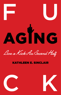

Live a Kick Ass Second Half

# KATHLEEN E. SINCLAIR



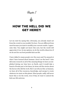Chapter 1



Let me start by saying this: obviously, you already stand out from the crowd or you wouldn't be here. You are different from most because you want to modify your current results. I appreciate that. You might not know this now, but the world will appreciate it too. In my opinion, we do the world a disservice if we do not live our best possible kick-ass life.

I have talked to many people over the years and I'm amazed at what I have learned about humans. Aren't we the best? I also did some research on all of the amazing things we have accomplished during our time here on Earth, and it would take a bunch of books just to list them, let alone tell the stories about the heroes who did the work. But I can tell you this: as humans, we have all of the resources, knowledge, and energy to create whatever we want on this planet. Most people, sadly, will never know this or do the work, even if they *do* want to unlock the kick-ass-life universe.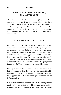# **CHANGE YOUR WAY OF THINKING, CHANGE YOUR LIFE!**

The bottom line is this: humans are living longer lives than ever before and we need something to show for our time here on Earth! In the last few decades alone, we have entered a whole new way of aging that has never been done before. We cannot rest on our laurels. With everything we have discovered, continuing to live in that former space or mindset is such a waste of life.

# **CHANGING LIFE EXPECTANCIES**

Let's back up a little bit and briefly explore life expectancy and aging, as well as how we got here. Thousands of years ago, when our ancestors were wandering around, exploring and evolving, they probably only lived for about twenty years. There wasn't much time to grow up, procreate, and take care of the kids or learn anything new. Then new tools and other developments gradually added to the number of years people lived, but it wasn't until the mid-1800s that life expectancy in parts of Europe and the United States crept up to the mid-thirties.

Life expectancy in the US climbed up to forty-seven years in 1900, then up to sixty-eight years in 1950, and in 2015, life expectancy in the US reached seventy-nine years. How did that happen? First of all, there was a major shift in how society looked at children.

Health officials and children's advocates started looking at what needed to be done so children could live longer and be healthy. In 1900, 25 percent of children died before they reached the age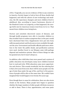of five. Tragically, you can see evidence of this in any cemetery in America. Society began to look at how all those deaths had happened, and with the advent of new technology and medicine, the life expectancy changed, and more children lived to adulthood. Also, according to Laura Carstensen, director of the Stanford Center on Longevity, as that happened, the average birth rate for American women went from 4.2 to 2.1. That meant fewer children were being born.

Doctors and scientists discovered causes of diseases, and through health programs were able to inoculate children so they wouldn't have to endure symptoms that, in the past, would have shortened their lives. Supplements were put into food, milk was pasteurized, and food sources were available throughout the year. Government and health officials paid more attention to the water the public drank, and purification systems were used. Another boost to our lifespan came with garbage disposal and sanitation systems. Most of these things we take for granted now, but it wasn't always so.

In addition, after child labor laws were passed and a system of public education was developed, many more children learned how to read and write. With education came more opportunities and choices. This sounds wonderful, but the sobering fact is that a few years from now, there will be more people over the age of sixty than under the age of five, and four to five generations of people will be alive at the same time. We couldn't have imagined that would happen even twenty-five years ago.

Even though there is cause for celebration, there are also storm clouds on the horizon. Many people have begun to question whether the larger numbers of older people will drain resources or add to them. There is fear, apprehension, and some panic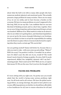#### 12 **FUCK AGING**

about what the hell to do with so many older people who have numerous medical, physical, and emotional needs. This actually presents a huge problem for many societies. There are too many of us, we are too sickly, and we have become a burden on the economy. We have too many problems; we aren't supposed to live this long. Well, let me say this: I am confident that we can turn this kind of thinking around, and in a short time, together. Here we are now, living a long time and moving toward living to at least one hundred. Millions of us. What matters is what we do about it, who we are while we're getting there, and what kind of guidelines we can set up for the waves of people following in our footsteps. Don't you think it is time to accept the responsibility for making sure the future is a place where everyone looks forward to exploring when they reach a certain age? We can do this!

Are you getting excited? Damn well better be, because this is a ride you want to take—with your arms up and yelling, "Wahoo!" Will it be scary? I'm positive it will be. It wouldn't be an adventure if it didn't scare the shit out of you, would it? The world doesn't need a bunch of wimps as guides. No siree, Bob! It needs experienced, skilled, fun, insightful, talented—did I say fun? amazing people. That is and can be YOU! Well, me too, so I guess that means US. We are the ones. Don't you love the thought of it?

### **FACING BIG PROBLEMS**

If I were sitting with you right now, I'm pretty sure you would admit that the world is facing some serious problems right now. On all levels and in all corners. We have the global warming problem, an energy shortage, the junk we have piled in our oceans, differing opinions on whether we should have affordable or free healthcare for all, how to ensure education for all (and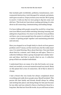that includes girls worldwide), pollution, homelessness, environmental destruction, total disregard for animals and plants, and it goes on and on. I hope you have your own list. We're going to need it. I told you that we were going to dig into some real shit here. This book isn't just about reading and doing; it is also about us all connecting, communicating, and leading change.

I've been talking with people around the world for a long time now (over fifteen years) while watching, listening, learning, and asking lots of questions. It is clear to me that for every problem out there, one or more people have the answer to solving it. It is a matter of getting people together and maximizing potential and outcome.

Have you stopped in on Google lately to check out how gamers problem-solve? I mean, not the weird ones, but the really smart ones. It is mind-blowing. More about that later. Now just think about that for a minute, and I think you will agree. There is a collective brilliance when a group of people have similar interests and ideas. And that is exactly what we are. A collective group of kick-ass-mindset individuals.

I understand there are many of us who feel lonely, not recognized, not needed, or even not wanted around very much. Many on this planet feel a loss of connection. All of that is about to change.

I had a friend who was lonely but always complained about everything and really drove people away. Myself included. This person felt that family and friends should always be calling and inviting him places and doing things for him just because he was older and was related to them or had known them for a long time. But that isn't how life works. As you will learn in later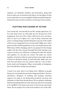14 **FUCK AGING**

chapters, our attitudes, mindset, and motivation, along with how we take care of ourselves and others, are the pillars of who we are and what we can accomplish. Sitting around feeling entitled just because we have reached a certain age is horse pucky.

### **PLOTTING OUR COURSE OF ACTION**

Let's revisit the "second half of our life" people again here. Us. In a few short years, we will make up over 20 percent of the population. One out of five. There will be lots of us out there, and it is up to us to figure out a way to keep connected and active, creating change and knocking the crap out of the myths of how we are supposed to be as we get older. Right now, only 1 percent of the world's population is over one hundred years old. Well, times will be changing, and we are going to be the change makers. By the time you get through this book and plan your course of action, you will have a roadmap for what lies ahead, and together, we can plot our course. Our path, our course together, is based on what we want and not some made-up idea of what we should be doing. To hell with that. Make sure you note how and where you can connect with me. I am on Facebook, email, and Instagram. (Okay, occasionally on Instagram, but I am still there and get my messages.)

I want to be clear: there is no blame here. Millions of people living over one hundred years hasn't happened before. Doctors, advertisers, designers of clothing and housing, nutrition experts, you name it, are basing their products, services, and attitudes on what they already know. We are going to challenge that by demanding what we want and need, and we are not going to be shuffled to the back room next to the brooms and mops. Nope. We are going to be in the front window, out on the side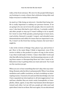walk, at the front entrance. We owe it to the people following in our footsteps to create a future that celebrates being older and helps everyone to realize their potential.

As much as I like being an introvert, I decided that being visible is really important to making our presence known. If we are going to be one out of every five people, then we need to be seen. I also knew this had to start with me. I certainly couldn't ask other people to step up if I wasn't willing to do so myself. So I went to some Pride parades, joined groups to learn more, read articles, listened to people I respect, and attended some demonstrations and rallies for issues that are important to me. No, I wasn't on the front line waving a banner, but next time I might be.

I also write reviews of things I buy, places I go, and services I get. Here is the main thing I think is important: even if the service is shitty or the product is a piece of crap, in the review, I say what would make it better. I share what didn't work and why that affected my decision. Just demeaning someone or calling them names or disrespecting them isn't who I want to be. Education is key to getting what you want and need. Try it and see the reaction you get.

When you see or hear something that isn't okay, then say something. Remain calm but direct and purposeful. When I was doing mediation and conflict resolution, we had a workshop on interrupting racism. I learned a lot and used this knowledge a lot, but I have expanded my interruptions to all microaggressions I see and hear, whether they are racist, sexist, homophobic or transphobic, ethnic, ageist, or any other way humans show disrespect toward each other. Let me tell you, people get wide-eyed and quiet when I start in on them. But once again, it is an educational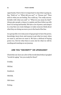opportunity. First of all, it is important to stop what is going on. Say, "Hold on" or "What did you say?" or "Excuse me!" Then stick to what you are feeling. You could say, "I'm really uncomfortable with what you said" or "What do you mean by that?" Always give people a chance to explain and then follow up with how it is wrong and hurtful. We have a lot of power, and using it in a way that can create dialogue or make someone think about what they are doing can move you to the head of the line.

As a group (the over sixty years of age group) we have the power, knowledge, know-how, and reasons to get what we want, when we want it, and how we want it. We have a shitload of buying power too. Not for what there is now, but for what we will be needing and wanting on our journey.

# **ARE YOU "DECREPIT" OR UPGRADED?**

Check this out: here are a few of the words listed when I googled "words for aging." Are you ready for these?

Crinkly.

Old hat.

Gumboot.

Old folk.

Old-timer.

Doting.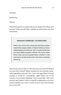Decrepit.

Doddering.

Tottery.

This list brings me to my first ask of you. Ready? No? Okay, do it anyway. Push yourself. After reading my instructions, put this book down.

# **THOUGHT EXERCISE / ACTION STEP**

**Wake a list of all of the words you have been called,** heard other people called, or heaven forbid, you have  $cal$  **called people you think are "old." Include words that wou have called yourself in this list. You know, those** times when you put yourself down, whether it was **<u>out loud or as that lovely inner voice that constantly</u>** shows up.

Now, let me ask you this: is "old" how you see yourself? What if you turn that around? Maybe instead you see yourself continually upgrading each year. Yes, I just said upgrading. If we got younger, it would be a downgrade, right? That's one of the reasons I love positive thinking. I have turned this "old" voice around, and instead I refer to myself as upgrading every year. Lesson number one: start to work on your voice now because *you are not old!*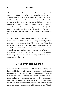#### 18 **FUCK AGING**

There is no way in hell someone who is thirty or forty or whatever can possibly know what it is like to be seventy-five or eighty-five or even sixty. They think they know what it will be like, but that belief is based on how older people are often portrayed in the media. They are scared shitless of what they think they know, but the truth is that they are frickin' clueless. I realize this is a rant, but I am sharing this because changing the way we live our lives in the second half can change the story for them too. You know, the humans who haven't upgraded to our level yet.

Oh, and I love this one (insert sarcasm emoticon here): "I know how you feel." Bullshit. You are forty-four and you have not lived my life. Don't say that! Why not just say, "Wow, that must feel (insert the word that applies here: terrible, scary, bad, etc.)"? No one can know how you feel. They can empathize with you and hold your hand and give you a pat on the back, but know how you feel? No way. "That must feel scary!" Now that is something everyone can relate to because everyone has been scared at one point in their lives.

### **LIVING OVER ONE HUNDRED**

Okay, let's talk about blue zones. Right now, there are five places in the world where people regularly live to be over one hundred years old. Soon it will be common for people worldwide to live to be one hundred. These five places are called the blue zones. A ton of studies have been done on people who live in these areas, as if they are animals in a zoo, and most of the information researchers have found is what you would expect from rather quiet and isolated communities with similar needs. What is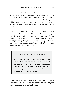so fascinating is that these people have the same resources as people in other places, but the difference I see is determination (there is that word again), taking action, and a healthy mindset, which of course lowers stress. People who have lived long lives in blue zones have some super-interesting tips. I have a blog post about this on my website, www.kathleensinclair.com; just search the term "blue zones" to check it out.

Where do you live? Inner city, farm, house, apartment? Do you live by yourself or with others? Are you still working? Are you in good health or bad health? Most of us are not able to live in the blue zones or choose not to, and although I love the blue zone tips and way of life, there are things that they do that I do not. I'm telling you here and now, though, I will definitely live to be over one hundred. I'm certain of it.

### **THOUGHT EXERCISE / ACTION STEP**

**Here's an interesting little side exercise for you: take**  $a$  moment to pause and write down how long will **you live. And by live, I mean be healthy, have a sound n**  $\dot{x}$   $\dot{y}$   $\dot{z}$   $\dot{z}$   $\dot{z}$   $\dot{z}$   $\dot{z}$   $\dot{z}$   $\dot{z}$   $\dot{z}$   $\dot{z}$   $\dot{z}$   $\dot{z}$   $\dot{z}$   $\dot{z}$   $\dot{z}$   $\dot{z}$   $\dot{z}$   $\dot{z}$   $\dot{z}$   $\dot{z}$   $\dot{z}$   $\dot{z}$   $\dot{z}$   $\dot{z}$   $\dot{z}$   $\dot$ **number and put it away somewhere with the date on**  $\mathbf{a}$  **it.** You can and will look at it later on.

I wrote down 120. I said, "I want to be holy-shit old." What can I say? That's what came to me, and for once, I didn't set up the debate team in my head and battle it out.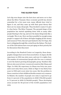### **THE SILVER FEAR**

Let's dig even deeper into the facts here and move on to chat about the Silver Tsunami. Since economic growth has slowed somewhat for a few years now, many officials have tried to figure it out, and they came up with their great theory that there are too many old people. They decided to name it to give it a fear factor. The Silver Tsunami. The pyramid shape of the population has started squishing down with so many older people floating to the top, and now the damn thing looks like a rectangle. Woe is me. How can there possibly be enough young people to support all of these old fogies hogging all the money and resources? Now, this isn't just limited to the US. Nope, this fear is whipping through like a wind from the Sahara. The leaders of the G20 nations have even put aging on their priority list for discussion when they meet.

According to the Stanford Center on Longevity, these demographic changes have never been seen before. In Japan, the life expectancy in 1950 was sixty years, and now it is eighty-four. The number of centenarians (people who live over a century) is now the fastest-growing demographic group. Numbers like this are also seen in lower-resourced countries like Ghana and Niger. In 1950, life expectancy in Ghana was forty-one years and is now sixty-three years, while in Niger it was thirty-four years in 1950 and is now sixty-two years. But the problem in those countries is that childhood deaths remain very common. In Malawi, the number of people over sixty is expected to go from 4.1 percent of the population in 2020 (784,300 people) to 7.3 percent in 2050 (2,784,000 people). These developing areas account for 68 percent of the world's population over sixty.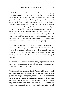A UN Department of Economics and Social Affairs report, *Inequality Matters*, brought up the idea that the developed world got rich before it got old, but less-developed regions will get old before they ever get rich. This just magnifies the fact that aging is a challenging global issue. Our role as kick-ass change makers and explorers is more important than ever, as we can set an example about aging that hasn't been experienced yet. Right now, the world is not prepared for the near doubling of life expectancy. It has happened so fast that social infrastructure, societal norms, and individuals' life plans are not ready. Waves of uncertainty and doom are blazing through government policies and infrastructure that looked vastly different from the current assumptions about the numbers of old versus young.

Think of the current norms in work, education, healthcare, and financial security. Think of the definitions of family, politics, and insurance predictions, as well as Social Security. Yikes. Think of traditional policies around education, length of working careers, health policies, and financial sustainability of pensions.

There have to be major revisions. Retiring in your sixties is not going allow you to support yourself into your nineties unless there are dramatic shifts in policy.

That isn't all the grimness that is festering. Haven't we had enough of this already? Evidently not. Some economists and politicians are predicting a major decline in productivity and an increase in strains on healthcare, making costs such as delivering care, wages, equipment, supplies, land, and buildings increase even more. Some feel there will be so many older people that their needs cannot be met with the current projected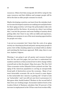resources. Others feel that young and old will be vying for the same resources and that children and younger people will be left in the dust as older people consume too much.

Maybe developing countries can learn from the mistakes leaders in some developed countries are making now and plan better for their aging societies. Let's hope the policymakers take note and plan well for the future. At seventy-six, when I am writing this, I can feel the pressure and some buildup of anxiety about getting older, but I have to say, with our skills and experience, finding a new purpose is one of the most amazing opportunities for people over sixty.

I am not an economist, but I know that the costs of an aging society are churning up dread and panic among many people in power. Sort of like standing naked on an island with no shelter and watching the hurricane approach. Well, okay, there is one tree. Anyhow, I digress.

Warning: I am going to get all quotey and resource-focused here for the next few pages, but you have to understand the numbers and facts so that you know how to drive change within yourself and on this the planet. Okay, here goes. The *New York Times* economics writer Eduardo Porter pointed out that "the aging of the American population is carving an unexpectedly broad path of destruction across the economy… Many of our most intractable economic ills can be traced to some degree to this ineluctable fact: America is getting old." (I had to look up "ineluctable," and I am still not sure how to pronounce it.) But guess what, fearful leaders? Workers in the second half of their lives are working longer. Economist Andrew Scott at the London School of Business calculates that 90 percent of the increase in employment in the US has come from workers fifty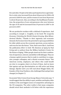five and older. People in the labor participation force aged sixtyfive to sixty-nine increased from about 28 percent in 1998 to 38 percent in 2019 for men, and for women it rose from 18 percent to about 30 percent. Also, according to the Kauffmann Foundation, the proportion of new entrepreneurs who were between the ages of 55 and 64 increased from 19 percent in 2007 to 26 percent in 2017.

We are productive workers with a shitload of experience. And according to Joseph L. Coughlin, in his book *The Longevity Economy: Unlocking the World's Fastest-Growing, Most Misunderstood Market*, "Thanks to their ingenuity and economic demand, the boomers have the potential to open up possibilities for older adults across the economic spectrum, across nations, and even far into the future." Now, that's more like it. And from the publication *Silver to Gold: The Business of Aging* by Paul Irving and co-authors from the Milken Institute's Center for the Future of Aging, "Older people stand out for their combination of experience, interest, and ability to fill skill gaps. They are a human capital resource that is ready to contribute to companies, younger colleagues, and a vibrant economic future." But American society, employers, and others who could benefit are slow to recognize what is in front of them. And we know that ageism and age discrimination are still active and doing damage. (Spoiler alert: you will read about Maggie Kuhn, the founder of the Gray Panthers, who challenged that and got laws changed, in Chapter 7.)

Economist Tyler Cowen from George Mason University says, "I would suggest that the ability to spot, mobilize and deploy older workers is the next biggest source of competitive advantage in the US companies. The sober reality is that many companies should retool their methods to fit better with the experience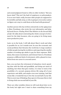24 **FUCK AGING**

and sound judgment found so often in older workers." But you know what? This isn't the fault of employers or policymakers. It is no one's fault, really, because older people are supposed to be invisible and fade away, so who is going to even notice unless we figure out a way to conk them on the head with greatness?

Another person who has written extensively on the aging issue is Marc Freedman, who wrote the very informative and helpful book *Encore: Finding Work That Matters in the Second Half of Life*. He talks about reinventing the whole concept of retirement for the baby boomers, who are going to be living many more productive years.

Later on in the book, I will talk about Marc's work and what is possible for us. As it stands now, he sees the economic and social problems that threaten the world due to large numbers of older people leaving the workforce and expecting the smaller number of working age adults to pay for their expenses. Well, damn, this causes resentment, and it doesn't have to. Freedman proposes a different kind of retirement, with a phased-in transition from one career to a second career.

Sure, you can have the retirement of relaxation, travel, spending time with the kids and grandkids, and doing not much of anything, but when that gets routine, it is time to look at the possibility of a second, purpose-driven life using all of your experience and skills, and maybe even new training. And that seems like a wonderful way to live the second half of your life. This is a new way of thinking. Stay open to it because this is vital to living a kick-ass second half of your life.

There are other notables whom we will read about later on in the book, but right now I want to share something from my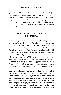good ol' friend Bruce "the Boss" Springsteen, who said, "Aging is scary but fascinating" in his 2016 memoir, *Born to Run*. He also said, "Great talent morphs in strange and often enlightening ways." Well, who would know better than Springsteen, who reinvented himself at age sixty-eight and began telling stories about his life to packed houses at the Walter Kerr Theater in New York?

### **THINKING ABOUT RETIREMENT DIFFERENTLY**

You probably know someone who—or maybe even you, yourself—could be added to the list of people who are confused with what retirement is supposed to look like. These people didn't look in the mirror and say, "Well, now that I am retired, I'd better hang it up." Nope. More than likely, they fully intended or still intend to remain vital and relevant and living their purpose. We know about lots of people who continued on in life to accomplish amazing and wonderful jaw-dropping things, but what we don't know or often see is how hard it was for them to get there. Reinvention isn't easy, and it has to happen in all aspects of our lives: from how we live day to day, interact with other people, manage our time, and handle our health, among other things.

Surveys have been telling us for a long time that the happiest people are those over fifty-five. Laura Carstensen, director of the Stanford Center on Longevity, says that this is this age at which people are the most positive and enjoy the greatest day-to-day satisfaction. Damn straight, Laura! Carstensen says there is a paradox of aging where the older we get, the happier we are, which, for many people, is the result of having more money and fewer bills to pay. At the same time, individuals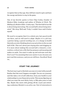recognize that as they age, they still have much to give and have the energy and desire to stay in the game.

One of my favorite quotes is from Chip Conley, founder of Modern Elder Academy and author of *Wisdom @ Work: The Making of a Modern Elder*.Conley says, "The first half of our life is about being interesting. The second half is about being interested." Mic drop. Well said. Truly, I couldn't have said it better myself.

We need to recognize that it is a whole new, fast-paced world out there, and we will need to adapt. Maybe it is a job loss, a partner dying, a parent needing care, or a change in health that jolts you into thinking about your priorities in the second half of life. This isn't about just staying alive and slogging on. It is more about making this second half a relaunch, a reinvention, a reboot into a life that has purpose and meaning and makes us smile. You want to wake up and welcome each day. Don't you? I'm assuming that your answer is yes, because you just read this sentence, and you are still here. Excellent! Read on…

## **START THE JOURNEY**

The best way to get to this kick-ass zone is to start with yourself. Realize that this won't happen overnight. You are on a journey, and this takes a lot of self-reflection, from your health to your relationships to your financial security. This means figuring out what you want the next thirty, forty, or fifty-plus years to look like. Maybe this starts with getting off the couch and switching a sedentary lifestyle to an active one. Part of reinvention is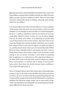figuring out a way to drop bad habits and adopt better ones. The Yoga Alliance reports that 14 million people over fifty-five have taken up yoga, up from 4 million in 2012. There are also huge increases among this group in hiking, canoeing, and cycling. And I am one of them.

I've always hiked, but when I lived in Mexico, I was a member of the kayak club and went out several times a week on Lake Chapala. I even bought an electric bike on a fundraising platform so I could go anywhere and not be bothered by long, steep hills. Pshaw to those. Listen, if I can do these things, you can do them even better. It is dawning on people that even if they haven't been active before, they have time to do some fun things now and get healthy. And there are so many free videos of how to get started, figure out what you like to do, and then learn more. Have you ever heard this joke? What fits your busy schedule better: exercising one hour a day or being dead twenty-four hours a day? Lack of resources and energy is not an excuse. Actually, I can't think of anything that would pass as a valid excuse. The important thing is to do what YOU want to do this time, and not what your neighbors, your partner, or anyone else is doing. If you haven't been active, then start out slowly and get some confidence. Your body will appreciate it.

Never in human history have there been more old people than young, so now is the time to stay healthy and active and not be a burden. By now, we know that the pyramid depicting the old on top and the young on the bottom has flattened to a maple bar (without the delicious maple icing), but in some parts of the world, the population is looking like an inverted pyramid, leading to difficulty for those societies.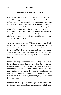### **HOW MY JOURNEY STARTED**

Here's the deal: gray is in and it is beautiful, so let's look at some of these opportunities and how to prepare ourselves for making growing older a game changer. You know it has to start with each of us individually. We do the work on ourselves so we are ready and able to take on the bigger challenges, which ultimately is our purpose on this planet. When I had that revelation about my dad and my own life, I felt I needed to start doing things. I wasn't sure what those things were, but I knew I had to do them. I bought books to start with, as they are my go-to for figuring things out.

After my divorce in my late fifties, this nice financial lady looked me in the eye and said I had to get out there and make some money. My daughters were still in middle school, and I was trying like hell not to disrupt their lives more than the divorce had done. I hadn't been employed for a few years and wondered what I could do with my Bachelor of Arts (BA) in English.

Listen, don't laugh. When I first went to college, I was majoring in political science and wanted to work for the CIA (Central Intelligence Agency), until I woke up and realized what harm and shit they were doing and switched to reading books. I could deal with dead authors and stories a lot better than I could with terror and corruption, but now that I had to support my daughters and myself, the BA in English wasn't going to put a lot of food on the table.

I found out I could get a master's degree in education while teaching, so I jumped in and started a program at the University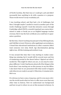of North Carolina. But that was so I could get a job and didn't necessarily have anything to do with a passion or a purpose. Those words weren't in my vocabulary yet.

I was teaching school, and that had a lot of challenges, but then I thought maybe I needed to teach in another part of the world. Challenge myself. I took this intensive course through Cambridge called CELTA, a month-long hard-ass course determined to make or break you as an English language teacher overseas. But it was the best certificate you could have to guarantee a position.

By this time, I knew teaching was just part of my lifelong dream, and I did like to travel. However, after applying to several places, I found that educational institutions in other countries didn't want someone over sixty. Swell. Age discrimination glaring right at me. All this training and nowhere to go.

It was around this time that I was starting to realize something was missing, but it would still be several years and lots of wandering around in the desert before I figured out what I needed do. This might be where you are, or you may be someplace different. I wish I had known about all of the things in this book when I was starting out on this journey in my late fifties. I also know that we are presented with what needs to happen only when we are ready to accept it. Otherwise, it remains invisible to us.

It's obvious we have come a long way, and it's even more obvious the world needs what we have to offer more now than any other time in history. Now we understand our background and how we got to where we are at this moment in history. In